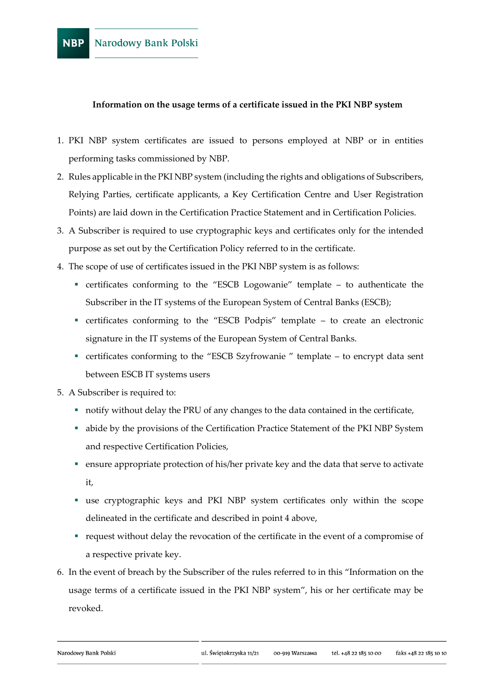## **Information on the usage terms of a certificate issued in the PKI NBP system**

- 1. PKI NBP system certificates are issued to persons employed at NBP or in entities performing tasks commissioned by NBP.
- 2. Rules applicable in the PKI NBP system (including the rights and obligations of Subscribers, Relying Parties, certificate applicants, a Key Certification Centre and User Registration Points) are laid down in the Certification Practice Statement and in Certification Policies.
- 3. A Subscriber is required to use cryptographic keys and certificates only for the intended purpose as set out by the Certification Policy referred to in the certificate.
- 4. The scope of use of certificates issued in the PKI NBP system is as follows:
	- certificates conforming to the "ESCB Logowanie" template to authenticate the Subscriber in the IT systems of the European System of Central Banks (ESCB);
	- certificates conforming to the "ESCB Podpis" template to create an electronic signature in the IT systems of the European System of Central Banks.
	- certificates conforming to the "ESCB Szyfrowanie " template to encrypt data sent between ESCB IT systems users
- 5. A Subscriber is required to:
	- notify without delay the PRU of any changes to the data contained in the certificate,
	- abide by the provisions of the Certification Practice Statement of the PKI NBP System and respective Certification Policies,
	- ensure appropriate protection of his/her private key and the data that serve to activate it,
	- use cryptographic keys and PKI NBP system certificates only within the scope delineated in the certificate and described in point 4 above,
	- request without delay the revocation of the certificate in the event of a compromise of a respective private key.
- 6. In the event of breach by the Subscriber of the rules referred to in this "Information on the usage terms of a certificate issued in the PKI NBP system", his or her certificate may be revoked.